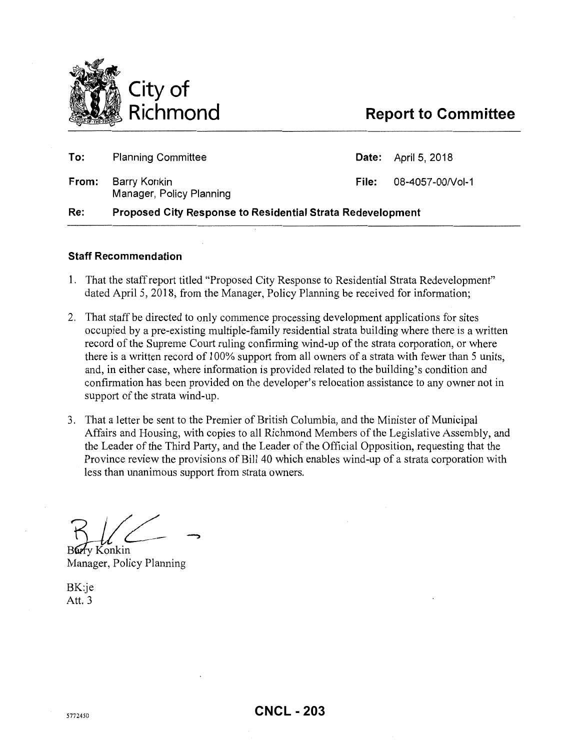

# **Report to Committee**

| Re:   | <b>Proposed City Response to Residential Strata Redevelopment</b> |       |                            |
|-------|-------------------------------------------------------------------|-------|----------------------------|
| From: | Barry Konkin<br>Manager, Policy Planning                          | File: | 08-4057-00/Vol-1           |
| To:   | <b>Planning Committee</b>                                         |       | <b>Date:</b> April 5, 2018 |

### **Staff Recommendation**

- 1. That the staff report titled "Proposed City Response to Residential Strata Redevelopment" dated April 5, 2018, from the Manager, Policy Planning be received for information;
- 2. That staff be directed to only commence processing development applications for sites occupied by a pre-existing multiple-family residential strata building where there is a written record of the Supreme Court ruling confirming wind-up of the strata corporation, or where there is a written record of 1 00% support from all owners of a strata with fewer than 5 units, and, in either case, where information is provided related to the building's condition and confirmation has been provided on the developer's relocation assistance to any owner not in support of the strata wind-up.
- 3. That a letter be sent to the Premier of British Columbia, and the Minister of Municipal Affairs and Housing, with copies to all Richmond Members of the Legislative Assembly, and the Leader of the Third Party, and the Leader of the Official Opposition, requesting that the Province review the provisions of Bill 40 which enables wind-up of a strata corporation with less than unanimous support from strata owners.

 $K$  ///

Konkin Manager, Policy Planning

BK:je Att. 3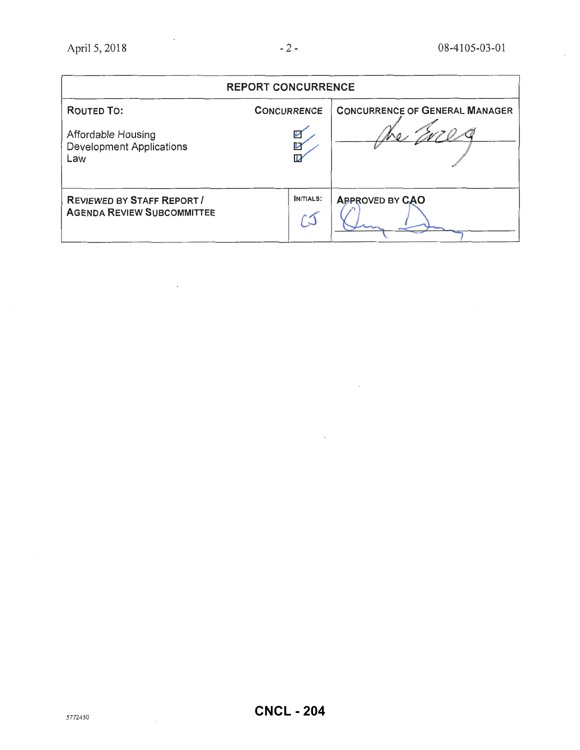$\overline{\phantom{a}}$ 

 $\ddot{\phantom{a}}$ 

| <b>REPORT CONCURRENCE</b>                                              |                    |                                       |  |  |  |
|------------------------------------------------------------------------|--------------------|---------------------------------------|--|--|--|
| <b>ROUTED TO:</b>                                                      | <b>CONCURRENCE</b> | <b>CONCURRENCE OF GENERAL MANAGER</b> |  |  |  |
| Affordable Housing<br><b>Development Applications</b><br>Law           | V                  |                                       |  |  |  |
| <b>REVIEWED BY STAFF REPORT /</b><br><b>AGENDA REVIEW SUBCOMMITTEE</b> | <b>INITIALS:</b>   | <b>APPROVED BY CAO</b>                |  |  |  |

 $\alpha$ 

 $\mathbf{v}$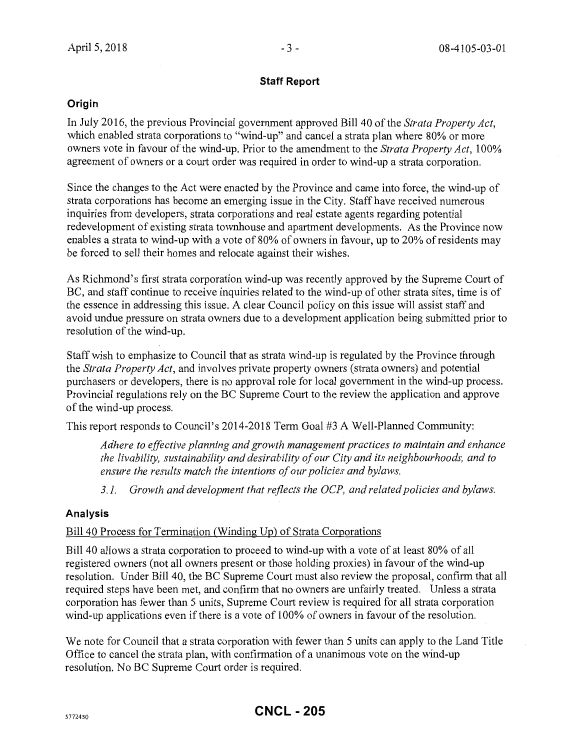### **Staff Report**

# **Origin**

In July 2016, the previous Provincial government approved Bill 40 of the *Strata Property Act*, which enabled strata corporations to "wind-up" and cancel a strata plan where 80% or more owners vote in favour of the wind-up. Prior to the amendment to the *Strata Property Act,* 100% agreement of owners or a court order was required in order to wind-up a strata corporation.

Since the changes to the Act were enacted by the Province and came into force, the wind-up of strata corporations has become an emerging issue in the City. Staff have received numerous inquiries from developers, strata corporations and real estate agents regarding potential redevelopment of existing strata townhouse and apartment developments. As the Province now enables a strata to wind-up with a vote of 80% of owners in favour, up to 20% of residents may be forced to sell their homes and relocate against their wishes.

As Richmond's first strata corporation wind-up was recently approved by the Supreme Court of BC, and staff continue to receive inquiries related to the wind-up of other strata sites, time is of the essence in addressing this issue. A clear Council policy on this issue will assist staff and avoid undue pressure on strata owners due to a development application being submitted prior to resolution of the wind-up.

Staff wish to emphasize to Council that as strata wind-up is regulated by the Province through the *Strata Property Act,* and involves private property owners (strata owners) and potential purchasers or developers, there is no approval role for local government in the wind-up process. Provincial regulations rely on the BC Supreme Court to the review the application and approve of the wind-up process.

This report responds to Council's 2014-2018 Term Goal #3 A Well-Planned Community:

*Adhere to effective planning and growth management practices to maintain and enhance the livability, sustainability and desirability of our City and its neighbourhoods, and to ensure the results match the intentions of our policies and bylaws.* 

*3.1. Growth and development that reflects the OCP, and related policies and bylaws.* 

# **Analysis**

# Bill 40 Process for Termination (Winding Up) of Strata Corporations

Bill 40 allows a strata corporation to proceed to wind-up with a vote of at least 80% of all registered owners (not all owners present or those holding proxies) in favour of the wind-up resolution. Under Bill 40, the BC Supreme Court must also review the proposal, confirm that all required steps have been met, and confirm that no owners are unfairly treated. Unless a strata corporation has fewer than 5 units, Supreme Court review is required for all strata corporation wind-up applications even if there is a vote of 100% of owners in favour of the resolution.

We note for Council that a strata corporation with fewer than 5 units can apply to the Land Title Office to cancel the strata plan, with confirmation of a unanimous vote on the wind-up resolution. No BC Supreme Court order is required.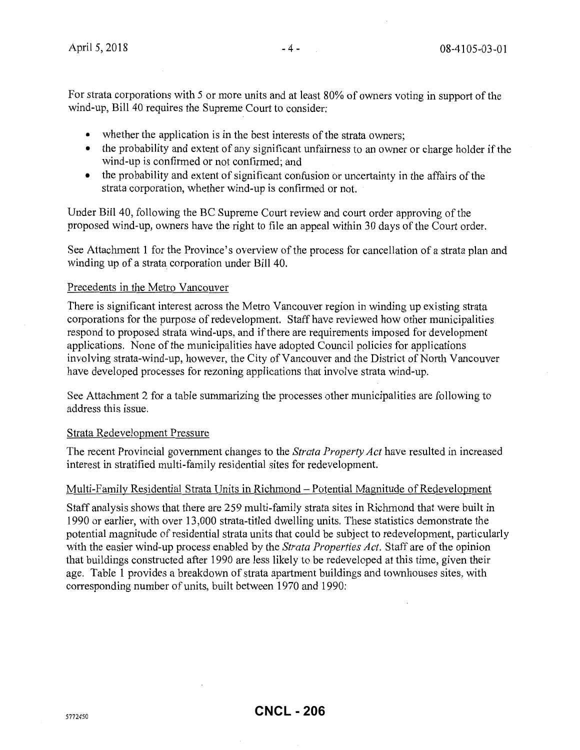For strata corporations with 5 or more units and at least 80% of owners voting in support of the wind-up, Bill 40 requires the Supreme Court to consider:

- whether the application is in the best interests of the strata owners;
- the probability and extent of any significant unfairness to an owner or charge holder if the wind-up is confirmed or not confirmed; and
- the probability and extent of significant confusion or uncertainty in the affairs of the strata corporation, whether wind-up is confirmed or not.

Under Bill 40, following the BC Supreme Court review and court order approving of the proposed wind-up, owners have the right to file an appeal within 30 days of the Court order.

See Attachment 1 for the Province's overview of the process for cancellation of a strata plan and winding up of a strata corporation under Bill 40.

### Precedents in the Metro Vancouver

There is significant interest across the Metro Vancouver region in winding up existing strata corporations for the purpose of redevelopment. Staff have reviewed how other municipalities respond to proposed strata wind-ups, and if there are requirements imposed for development applications. None of the municipalities have adopted Council policies for applications involving strata-wind-up, however, the City of Vancouver and the District of North Vancouver have developed processes for rezoning applications that involve strata wind-up.

See Attachment 2 for a table summarizing the processes other municipalities are following to address this issue.

### Strata Redevelopment Pressure

The recent Provincial government changes to the *Strata Property Act* have resulted in increased interest in stratified multi-family residential sites for redevelopment.

### Multi-Family Residential Strata Units in Richmond- Potential Magnitude of Redevelopment

Staff analysis shows that there are 259 multi-family strata sites in Richmond that were built in 1990 or earlier, with over 13,000 strata-titled dwelling units. These statistics demonstrate the potential magnitude of residential strata units that could be subject to redevelopment, particularly with the easier wind-up process enabled by the *Strata Properties Act.* Staff are of the opinion that buildings constructed after 1990 are less likely to be redeveloped at this time, given their age. Table 1 provides a breakdown of strata apartment buildings and townhouses sites, with corresponding number of units, built between 1970 and 1990: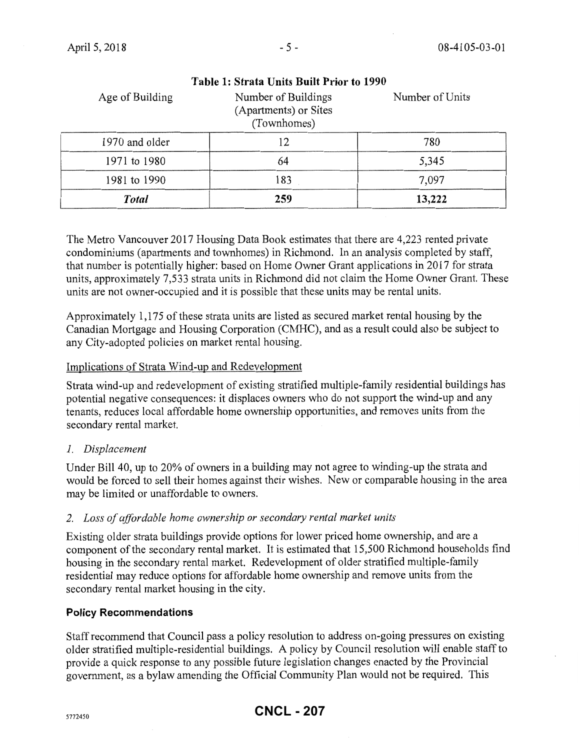| Age of Building | Number of Buildings<br>(Apartments) or Sites<br>(Townhomes) | Number of Units |
|-----------------|-------------------------------------------------------------|-----------------|
| 1970 and older  | 12                                                          | 780             |
| 1971 to 1980    | 64                                                          | 5,345           |
| 1981 to 1990    | 183                                                         | 7,097           |
| <b>Total</b>    | 259                                                         | 13,222          |

**Table 1: Strata Units Built Prior to 1990** 

The Metro Vancouver 2017 Housing Data Book estimates that there are 4,223 rented private condominiums (apartments and townhomes) in Richmond. In an analysis completed by staff, that number is potentially higher: based on Home Owner Grant applications in 2017 for strata units, approximately 7,533 strata units in Richmond did not claim the Home Owner Grant. These units are not owner-occupied and it is possible that these units may be rental units.

Approximately 1,175 of these strata units are listed as secured market rental housing by the Canadian Mortgage and Housing Corporation (CMHC), and as a result could also be subject to any City-adopted policies on market rental housing.

# Implications of Strata Wind-up and Redevelopment

Strata wind-up and redevelopment of existing stratified multiple-family residential buildings has potential negative consequences: it displaces owners who do not support the wind-up and any tenants, reduces local affordable home ownership opportunities, and removes units from the secondary rental market.

# *I. Displacement*

Under Bill 40, up to 20% of owners in a building may not agree to winding-up the strata and would be forced to sell their homes against their wishes. New or comparable housing in the area may be limited or unaffordable to owners.

# *2. Loss of affordable home ownership or secondary rental market units*

Existing older strata buildings provide options for lower priced home ownership, and are a component of the secondary rental market. It is estimated that 15,500 Richmond households find housing in the secondary rental market. Redevelopment of older stratified multiple-family residential may reduce options for affordable home ownership and remove units from the secondary rental market housing in the city.

# **Policy Recommendations**

Staff recommend that Council pass a policy resolution to address on-going pressures on existing older stratified multiple-residential buildings. A policy by Council resolution will enable staff to provide a quick response to any possible future legislation changes enacted by the Provincial government, as a bylaw amending the Official Community Plan would not be required. This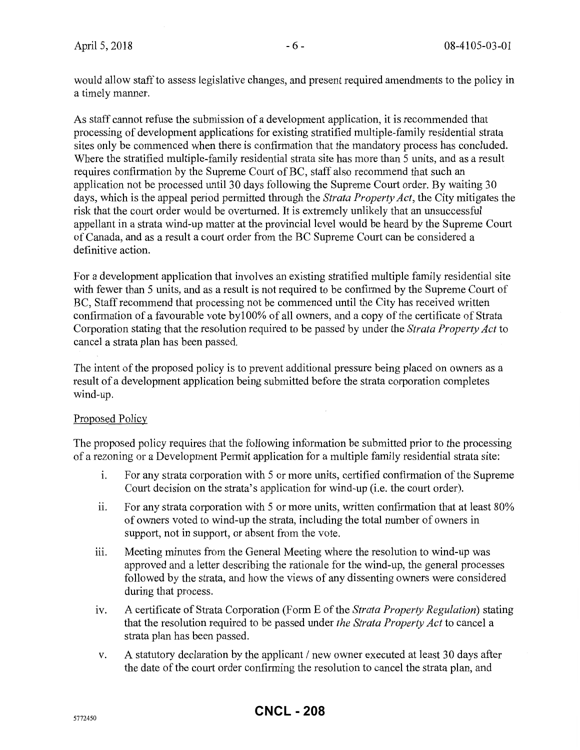would allow staff to assess legislative changes, and present required amendments to the policy in a timely manner.

As staff cannot refuse the submission of a development application, it is recommended that processing of development applications for existing stratified multiple-family residential strata sites only be commenced when there is confirmation that the mandatory process has concluded. Where the stratified multiple-family residential strata site has more than 5 units, and as a result requires confirmation by the Supreme Court of BC, staff also recommend that such an application not be processed until 30 days following the Supreme Court order. By waiting 30 days, which is the appeal period permitted through the *Strata Property Act,* the City mitigates the risk that the court order would be overturned. It is extremely unlikely that an unsuccessful appellant in a strata wind-up matter at the provincial level would be heard by the Supreme Court of Canada, and as a result a court order from the BC Supreme Court can be considered a definitive action.

For a development application that involves an existing stratified multiple family residential site with fewer than 5 units, and as a result is not required to be confirmed by the Supreme Court of BC, Staff recommend that processing not be commenced until the City has received written confirmation of a favourable vote by 100% of all owners, and a copy of the certificate of Strata Corporation stating that the resolution required to be passed by under the *Strata Property Act* to cancel a strata plan has been passed.

The intent of the proposed policy is to prevent additional pressure being placed on owners as a result of a development application being submitted before the strata corporation completes wind-up.

# Proposed Policy

The proposed policy requires that the following information be submitted prior to the processing of a rezoning or a Development Petmit application for a multiple family residential strata site:

- 1. For any strata corporation with 5 or more units, certified confirmation of the Supreme Court decision on the strata's application for wind-up (i.e. the court order).
- ii. For any strata corporation with 5 or more units, written confirmation that at least  $80\%$ of owners voted to wind-up the strata, including the total number of owners in support, not in support, or absent from the vote.
- iii. Meeting minutes from the General Meeting where the resolution to wind-up was approved and a letter describing the rationale for the wind-up, the general processes followed by the strata, and how the views of any dissenting owners were considered during that process.
- IV. A certificate of Strata Corporation (Form E of the *Strata Property Regulation)* stating that the resolution required to be passed under *the Strata Property Act* to cancel a strata plan has been passed.
- v. A statutory declaration by the applicant  $\ell$  new owner executed at least 30 days after the date of the court order confirming the resolution to cancel the strata plan, and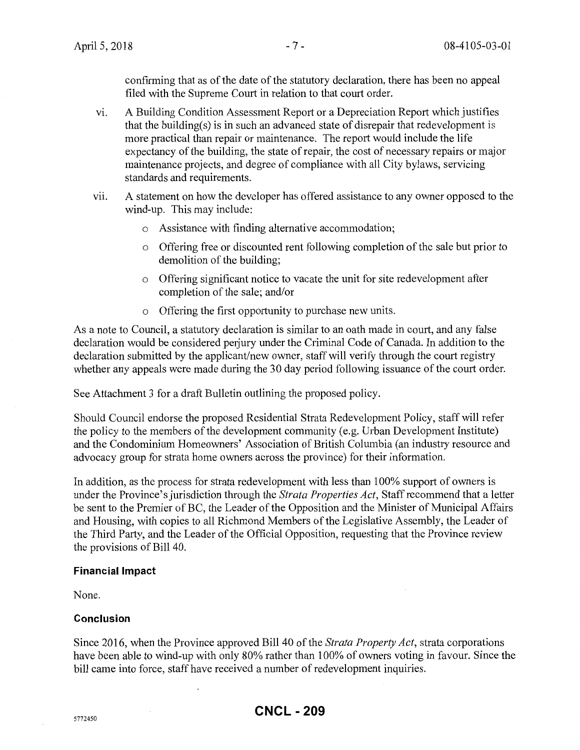confirming that as of the date of the statutory declaration, there has been no appeal filed with the Supreme Court in relation to that court order.

- vi. A Building Condition Assessment Report or a Depreciation Report which justifies that the building(s) is in such an advanced state of disrepair that redevelopment is more practical than repair or maintenance. The report would include the life expectancy of the building, the state of repair, the cost of necessary repairs or major maintenance projects, and degree of compliance with all City bylaws, servicing standards and requirements.
- vii. A statement on how the developer has offered assistance to any owner opposed to the wind-up. This may include:
	- o Assistance with finding alternative accommodation;
	- o Offering free or discounted rent following completion of the sale but prior to demolition of the building;
	- o Offering significant notice to vacate the unit for site redevelopment after completion of the sale; and/or
	- o Offering the first opportunity to purchase new units.

As a note to Council, a statutory declaration is similar to an oath made in court, and any false declaration would be considered perjury under the Criminal Code of Canada. In addition to the declaration submitted by the applicant/new owner, staff will verify through the court registry whether any appeals were made during the 30 day period following issuance of the court order.

See Attachment 3 for a draft Bulletin outlining the proposed policy.

Should Council endorse the proposed Residential Strata Redevelopment Policy, staff will refer the policy to the members of the development community (e.g. Urban Development Institute) and the Condominium Homeowners' Association of British Columbia (an industry resource and advocacy group for strata horne owners across the province) for their information.

In addition, as the process for strata redevelopment with less than 100% support of owners is under the Province's jurisdiction through the *Strata Properties Act,* Staff recommend that a letter be sent to the Premier of BC, the Leader of the Opposition and the Minister of Municipal Affairs and Housing, with copies to all Richmond Members of the Legislative Assembly, the Leader of the Third Party, and the Leader of the Official Opposition, requesting that the Province review the provisions of Bill 40.

### **Financial Impact**

 $\bar{z}$ 

None.

# **Conclusion**

Since 2016, when the Province approved Bill40 of the *Strata Property Act,* strata corporations have been able to wind-up with only 80% rather than 100% of owners voting in favour. Since the bill came into force, staff have received a number of redevelopment inquiries.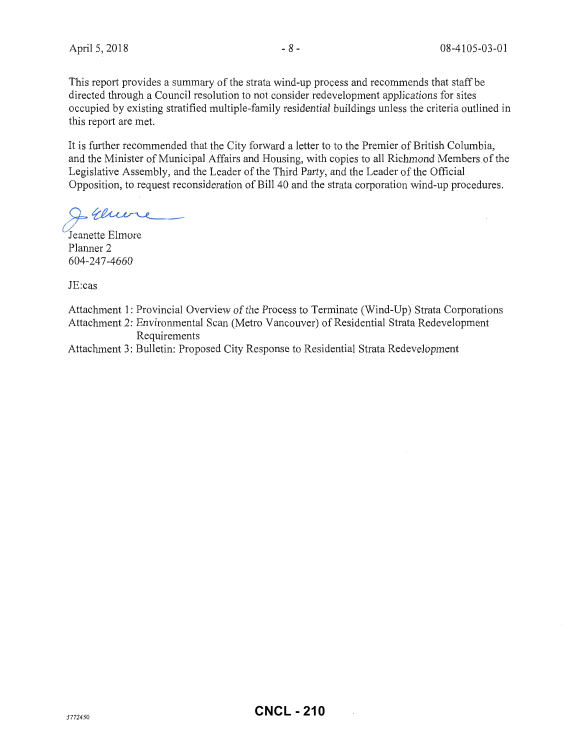This report provides a summary of the strata wind-up process and recommends that staff be directed through a Council resolution to not consider redevelopment applications for sites occupied by existing stratified multiple-family residential buildings unless the criteria outlined in this report are met.

It is further recommended that the City forward a letter to to the Premier of British Columbia, and the Minister of Municipal Affairs and Housing, with copies to all Richmond Members of the Legislative Assembly, and the Leader of the Third Party, and the Leader of the Official Opposition, to request reconsideration of Bill 40 and the strata corporation wind-up procedures.

I genere

Jeanette Elmore Planner 2 604-247-4660

JE:cas

- Attachment 1: Provincial Overview of the Process to Terminate (Wind-Up) Strata Corporations Attachment 2: Environmental Scan (Metro Vancouver) of Residential Strata Redevelopment
	- Requirements
- Attachment 3: Bulletin: Proposed City Response to Residential Strata Redevelopment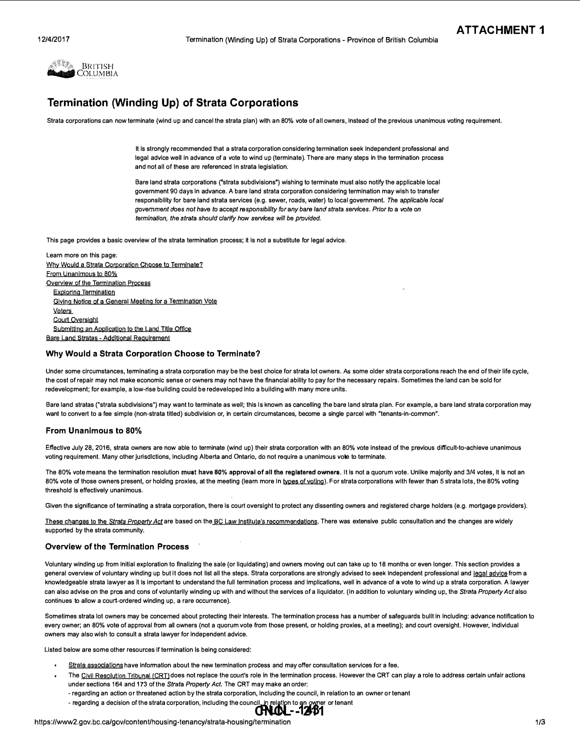

# Termination (Winding Up) of Strata Corporations

Strata corporations can now terminate (wind up and cancel the strata plan) with an 80% vote of all owners, Instead of the previous unanimous voting requirement.

It Is strongly recommended that a strata corporation considering termination seek Independent professional and legal advice well in advance of a vote to wind up (terminate). There are many steps in the termination process and not all of these are referenced In strata legislation.

Bare land strata corporations ("strata subdivisions") wishing to terminate must also notify the applicable local government 90 days In advance. A bare land strata corporation considering termination may wish to transfer responsibility for bare land strata services (e.g. sewer, roads, water) to local government. The applicable local government does nat have to accept responsibility for any bare land strata services. Prior to a vote on termination, the strata should clarify how services will be provided.

This page provides a basic overview of the strata termination process; it Is not a substitute for legal advice.

Learn more on this page: Why Would a Strata Corporation Choose to Terminate? From Unanimous to 80% Overview of the Termination Process Exploring Termination Voters Giylng Notice of a General Meeting for a Termination Vote Court OVersight Submitting an Application to the Land Title Office Bare Land Stratas • Additional Requirement

### Why Would a Strata Corporation Choose to Terminate?

Under some circumstances, terminating a strata corporation may be the best choice for strata lot owners. As some older strata corporations reach the end of their life cycle, the cost of repair may not make economic sense or owners may not have the financial ability to pay for the necessary repairs. Sometimes the land can be sold for redevelopment; for example, a low-rise building could be redeveloped Into a building with many more units.

Bare land stratas ("strata subdivisions") may want to terminate as well; this is known as cancelling the bare land strata plan. For example, a bare land strata corporation may want to convert to a fee simple (non-strata titled) subdivision or, in certain circumstances, become a single parcel with "tenants-in-common".

### From Unanimous to 80%

Effective July 28,2016, strata owners are now able to terminate (wind up) their strata corporation with an 80% vote Instead of the previous difficult-to-achieve unanimous voting requirement. Many other jurisdictions, including Alberta and Ontario, do not require a unanimous vote to terminate.

The 80% vote means the termination resolution must have 80% approval of all the registered owners. It is not a quorum vote. Unlike majority and 3/4 votes, it is not an 80% vote of those owners present, or holding proxies, at the meeting (learn more in types of voting). For strata corporations with fewer than 5 strata lots, the 80% voting threshold is effectively unanimous.

Given the significance of terminating a strata corporation, there is court oversight to protect any dissenting owners and registered charge holders (e.g. mortgage providers).

These changes to the Strata Property Act are based on the BC Law Institute's recommendations. There was extensive public consultation and the changes are widely supported by the strata community.

### Overview of the Termination Process

Voluntary winding up from Initial exploration to finalizing the sate (or liquidating) and owners moving out can take up to 18 months or even longer. This section provides a general overview of voluntary winding up but It does not list all the steps. Strata corporations are strongly advised to seek independent professional and legal advice from a knowledgeable strata lawyer as it is important to understand the full termination process and implications, well in advance of a vote to wind up a strata corporation. A lawyer can also advise on the pros and cons of voluntarily winding up with and without the services of a liquidator. (In addition to voluntary winding up, the Strata Property Act also continues to allow a court-ordered winding up, a rare occurrence).

Sometimes strata lot owners may be concerned about protecting their interests. The termination process has a number of safeguards bullt in including: advance notification to every owner; an 80% vote of approval from all owners (not a quorum vote from those present, or holding proxies, at a meeting); and court oversight. However, individual owners may also wish to consult a strata lawyer for Independent advice.

Listed below are some other resources If termination Is being considered:

- Strata associations have information about the new termination process and may offer consultation services for a fee.
- The Civil Resolution Tribunal (CRT) does not replace the court's role in the termination process. However the CRT can play a role to address certain unfair actions under sections 164 and 173 of the Strata Property Act. The CRT may make an order:
	- regarding an action or threatened action by the strata corporation, Including the council, In relation to an owner or tenant
	- regarding a decision of the strata corporation, including the council, in relation to an owner or tenant -<br>**CNL 1241**

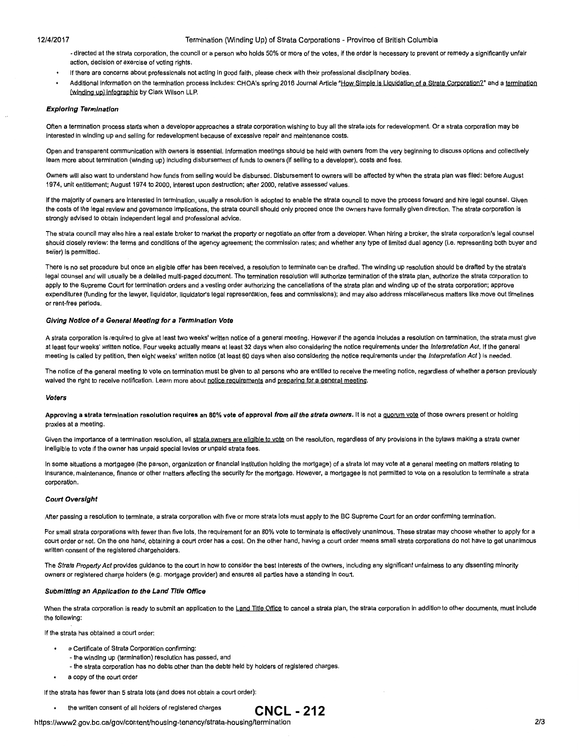#### 12/4/2017 Termination (Winding Up) of Strata Corporations- Province of British Columbia

- directed at the strata corporation, the council or a person who holds 50% or more of the votes, If the order Is necessary to prevent or remedy a significantly unfair action, decision or exercise of voting rights.
- If there are concerns about professionals not acting In good faith, please check with their professional disciplinary bodies.
- Additional Information on the termination process includes: CHOA's spring 2016 Journal Article "How Simple is Liguidation of a Strata Corporation?" and a termination (winding up) lnfographjc by Clark Wilson LLP.

### **Exploring Termination**

Often a termination process starts when a developer approaches a strata corporation wishing to buy all the strata lots for redevelopment. Or a strata corporation may be Interested In winding up and selling for redevelopment because of excessive repair and maintenance costs.

Open and transparent communication with owners is essential. Information meetings should be held with owners from the very beginning to discuss options and collectively learn more about termination {winding up) Including disbursement of funds to owners {If selling to a developer), costs and fees.

Owners will also want to understand how funds from selling would be disbursed. Disbursement to owners will be affected by when the strata plan was filed: before August 1974, unit entitlement; August 1974 to 2000, Interest upon destruction; after 2000, relative assessed values.

If the majority of owners are interested in termination, usually a resolution is adopted to enable the strata council to move the process forward and hire legal counsel. Given the costs of the legal review and governance implications, the strata council should only proceed once the owners have formally given direction. The strata corporation is strongly advised to obtain independent legal and professional advice.

The strata council may also hire a real estate broker to market the property or negotiate an offer from a developer. When hiring a broker, the strata corporation's legal counsel should closely review: the terms and conditions of the agency agreement; the commission rates; and whether any type of limited dual agency (i.e. representing both buyer and seller) is permitted.

There is no set procedure but once an eligible offer has been received, a resolution to terminate can be drafted. The winding up resolution should be drafted by the strata's legal counsel and will usually be a detailed multi-paged document. The termination resolution will authorize termination of the strata plan, authorize the strata corporation to apply to the Supreme Court for termination orders and a vesting order authorizing the cancellations of the strata plan and winding up of the strata corporation; approve expenditures (funding for the lawyer, liquidator, liquidator's legal representation, fees and commissions); and may also address miscellaneous matters like move out timelines or rent-free periods.

#### **Giving Notice of a General Meeting for a Termination Vote**

A strata corporation Is required to give at least two weeks' written notice of a general meeting. However If the agenda Includes a resolution on termination, the strata must give at least four weeks' written notice. Four weeks actually means at least 32 days when also considering the notice requirements under the Interpretation Act. If the general meeting is called by petition, then eight weeks' written notice (at least 60 days when also considering the notice requirements under the Interpretation Act) is needed.

The notice of the general meeting to vote on termination must be given to all persons who are entitled to receive the meeting notice, regardless of whether a person previously waived the right to receive notification. Learn more about notice requirements and preparing for a general meeting.

#### **Voters**

Approving a strata termination resolution requires an 80% vote of approval *from all the strata owners*. It is not a quorum vote of those owners present or holding proxies at a meeting.

Given the importance of a termination resolution, all strata owners are eligible to vote on the resolution, regardless of any provisions in the bylaws making a strata owner ineligible to vote if the owner has unpaid special levies or unpaid strata fees.

In some situations a mortgagee {the person, organization or financial institution holding the mortgage) of a strata lot may vote at a general meeting on matters relating to insurance, maintenance, finance or other matters affecting the security for the mortgage. However, a mortgagee is not permitted to vote on a resolution to terminate a strata corporation.

#### **Court Oversight**

After passing a resolution to terminate, a strata corporation with five or more strata lots must apply to the BC Supreme Court for an order confirming termination.

For small strata corporations with fewer than five lots, the requirement for an 80% vote to terminate is effectively unanimous. These stratas may choose whether to apply for a court order or not. On the one hand, obtaining a court order has a cost. On the other hand, having a court order means small strata corporations do not have to get unanimous written consent of the registered chargeholders.

The Strata Property Act provides guidance to the court in how to consider the best interests of the owners, including any significant unfairness to any dissenting minority owners or registered charge holders {e.g. mortgage provider) and ensures all parties have a standing In court.

### **Submitting an Application to the Land Title Office**

When the strata corporation is ready to submit an application to the Land Title Office to cancel a strata plan, the strata corporation in addition to other documents, must include the following:

**CNCL - 212** 

If the strata has obtained a court order:

- a Certificate of Strata Corporation confirming:
	- -the winding up {termination) resolution has passed, and
	- the strata corporation has no debts other than the debts held by holders of registered charges.
- a copy of the court order

If the strata has fewer than 5 strata lots {and does not obtain a court order):

the written consent of all holders of registered charges

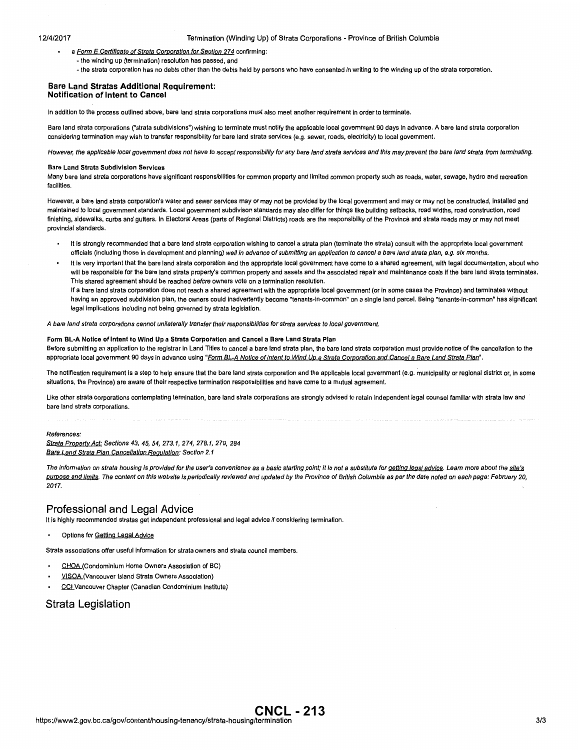#### 12/4/2017 Termination (Winding Up) of Strata Corporations- Province of British Columbia

- a Form E Certificate of Strata Corporation for Section 274 confirming:
	- -the winding up (termination) resolution has passed, and
	- the strata corporation has no debts other than the debts held by persons who have consented in writing to the winding up of the strata corporation.

### **Bare Land Stratas Additional Requirement: Notification of Intent to Cancel**

In addition to the process outlined above, bare land strata corporations must also meet another requirement In order to terminate.

Bare land strata corporations ("strata subdivisions") wishing to terminate must notify the applicable local government 90 days In advance. A bare land strata corporation considering termination may wish to transfer responsibility for bare land strata services (e.g. sewer, roads, electricity) to local government.

However, the applicable local government does not have to accept responsibility far any bare land strata services and this may prevent the bare land strata from terminating.

#### **Bare Land Strata Subdivision Services**

Many bare land strata corporations have significant responsibilities for common property and limited common property such as roads, water, sewage, hydro and recreation facilities.

However, a bare land strata corporation's water and sewer services may or may not be provided by the local government and may or may not be constructed, Installed and maintained to local government standards. Local government subdivison standards may also differ for things like building setbacks, road widths, road construction, road finishing, sidewalks, curbs and gutters. In Electoral Areas (parts of Regional Districts) roads are the responsibility of the Province and strata roads may or may not meet provincial standards.

- It is strongly recommended that a bare land strata corporation wishing to cancel a strata plan (terminate the strata) consult with the appropriate local government officials (including those in development and planning) well in advance of submitting an application to cancel a bare land strata plan, e.g. six months.
- It is very important that the bare land strata corporation and the appropriate local government have come to a shared agreement, with legal documentation, about who will be responsible for the bare land strata property's common property and assets and the associated repair and maintenance costs if the bare land strata terminates. This shared agreement should be reached before owners vote on a termination resolution.

If a bare land strata corporation does not reach a shared agreement with the appropriate local government (or In some cases the Province) and terminates without having an approved subdivision plan, the owners could Inadvertently become "tenants-In-common" on a single land parcel. Being "tenants-In-common" has significant legal implications including not being governed by strata legislation.

A bare land strata corporations cannot unilaterally transfer their responsibilities for strata services to local government.

### **Form BL·A Notice of Intent to Wind Up a Strata Corporation and Cancel a Bare Land Strata Plan**

Before submitting an application to the registrar in Land Titles to cancel a bare land strata plan, the bare land strata corporation must provide notice of the cancellation to the appropriate local government 90 days in advance using "Form BL-A Notice of Intent to Wind Up a Strata Corporation and Cancel a Bare Land Strata Plan".

The notification requirement is a step to help ensure that the bare land strata corporation and the applicable local government (e.g. municipality or regional district or, in some situations, the Province) are aware of their respective termination responsibilities and have come to a mutual agreement.

Like other strata corporations contemplating termination, bare land strata corporations are strongly advised to retain independent legal counsel familiar with strata law and bare land strata corporations.

#### References:

Strata Property Act: Sections 43, 45, 54, 273.1, 274, 278.1, 279, 284 Bare Land Strata Plan Cancellation Regulation: Section 2.1

The information on strata housing is provided for the user's convenience as a basic starting point; it is not a substitute for getting legal advice. Learn more about the site's purpose and limits. The content on this website is periodically reviewed and updated by the Province of British Columbia as per the date noted on each page: February 20, 2017.

### **Professional and Legal Advice**

It is highly recommended stratas get independent professional and legal advice if considering termination.

Options for Getting Legal Advice

Strata associations offer useful Information for strata owners and strata council members.

- CHOA (Condominium Home Owners Association of BC)
- VISOA (Vancouver Island Strata Owners Association)
- CCI Vancouver Chapter (Canadian Condominium Institute)

### **Strata Legislation**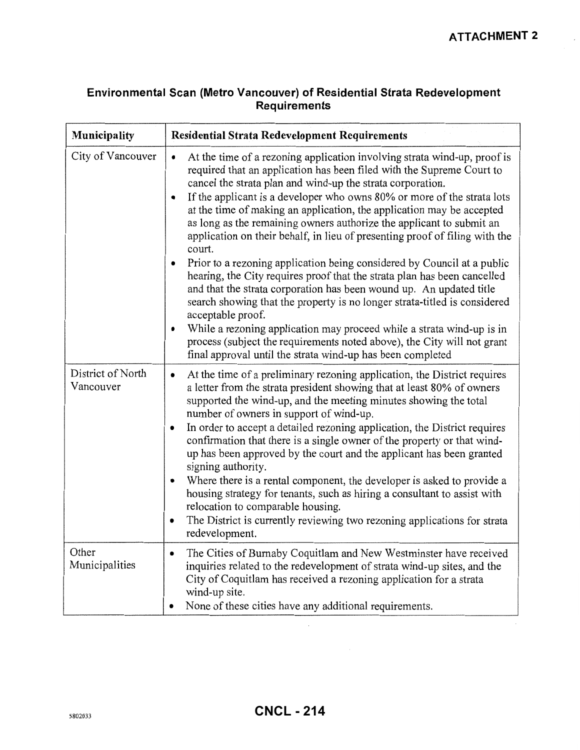# **Environmental Scan (Metro Vancouver) of Residential Strata Redevelopment Requirements**

| Municipality                   | <b>Residential Strata Redevelopment Requirements</b>                                                                                                                                                                                                                                                                                                                                                                                                                                                                                                                                                                                                                                                                                                                                                                                                                                                                                                                                                                                                                                                |  |  |  |
|--------------------------------|-----------------------------------------------------------------------------------------------------------------------------------------------------------------------------------------------------------------------------------------------------------------------------------------------------------------------------------------------------------------------------------------------------------------------------------------------------------------------------------------------------------------------------------------------------------------------------------------------------------------------------------------------------------------------------------------------------------------------------------------------------------------------------------------------------------------------------------------------------------------------------------------------------------------------------------------------------------------------------------------------------------------------------------------------------------------------------------------------------|--|--|--|
| City of Vancouver              | At the time of a rezoning application involving strata wind-up, proof is<br>$\bullet$<br>required that an application has been filed with the Supreme Court to<br>cancel the strata plan and wind-up the strata corporation.<br>If the applicant is a developer who owns 80% or more of the strata lots<br>at the time of making an application, the application may be accepted<br>as long as the remaining owners authorize the applicant to submit an<br>application on their behalf, in lieu of presenting proof of filing with the<br>court.<br>Prior to a rezoning application being considered by Council at a public<br>hearing, the City requires proof that the strata plan has been cancelled<br>and that the strata corporation has been wound up. An updated title<br>search showing that the property is no longer strata-titled is considered<br>acceptable proof.<br>While a rezoning application may proceed while a strata wind-up is in<br>process (subject the requirements noted above), the City will not grant<br>final approval until the strata wind-up has been completed |  |  |  |
| District of North<br>Vancouver | At the time of a preliminary rezoning application, the District requires<br>$\bullet$<br>a letter from the strata president showing that at least 80% of owners<br>supported the wind-up, and the meeting minutes showing the total<br>number of owners in support of wind-up.<br>In order to accept a detailed rezoning application, the District requires<br>٠<br>confirmation that there is a single owner of the property or that wind-<br>up has been approved by the court and the applicant has been granted<br>signing authority.<br>Where there is a rental component, the developer is asked to provide a<br>housing strategy for tenants, such as hiring a consultant to assist with<br>relocation to comparable housing.<br>The District is currently reviewing two rezoning applications for strata<br>redevelopment.                                                                                                                                                                                                                                                                  |  |  |  |
| Other<br>Municipalities        | The Cities of Burnaby Coquitlam and New Westminster have received<br>$\bullet$<br>inquiries related to the redevelopment of strata wind-up sites, and the<br>City of Coquitlam has received a rezoning application for a strata<br>wind-up site.<br>None of these cities have any additional requirements.                                                                                                                                                                                                                                                                                                                                                                                                                                                                                                                                                                                                                                                                                                                                                                                          |  |  |  |